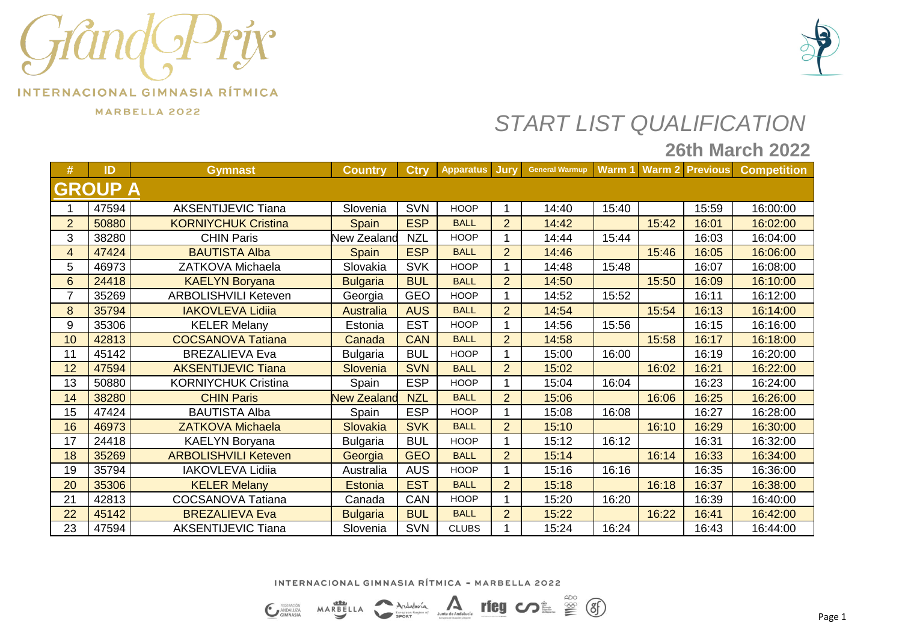



MARBELLA 2022

## *START LIST QUALIFICATION*

### **26th March 2022**

| #              | ID             | <b>Gymnast</b>              | <b>Country</b>     | <b>Ctry</b> | <b>Apparatus</b> | Jury           | <b>General Warmup</b> |       |       | Warm 1 Warm 2 Previous | <b>Competition</b> |
|----------------|----------------|-----------------------------|--------------------|-------------|------------------|----------------|-----------------------|-------|-------|------------------------|--------------------|
|                | <b>GROUP A</b> |                             |                    |             |                  |                |                       |       |       |                        |                    |
|                | 47594          | <b>AKSENTIJEVIC Tiana</b>   | Slovenia           | <b>SVN</b>  | <b>HOOP</b>      |                | 14:40                 | 15:40 |       | 15:59                  | 16:00:00           |
| $\overline{2}$ | 50880          | <b>KORNIYCHUK Cristina</b>  | <b>Spain</b>       | <b>ESP</b>  | <b>BALL</b>      | $\overline{2}$ | 14:42                 |       | 15:42 | 16:01                  | 16:02:00           |
| 3              | 38280          | <b>CHIN Paris</b>           | <b>New Zealand</b> | <b>NZL</b>  | <b>HOOP</b>      |                | 14:44                 | 15:44 |       | 16:03                  | 16:04:00           |
| 4              | 47424          | <b>BAUTISTA Alba</b>        | <b>Spain</b>       | <b>ESP</b>  | <b>BALL</b>      | $\overline{2}$ | 14:46                 |       | 15:46 | 16:05                  | 16:06:00           |
| 5              | 46973          | ZATKOVA Michaela            | Slovakia           | <b>SVK</b>  | <b>HOOP</b>      |                | 14:48                 | 15:48 |       | 16:07                  | 16:08:00           |
| 6              | 24418          | <b>KAELYN Boryana</b>       | <b>Bulgaria</b>    | <b>BUL</b>  | <b>BALL</b>      | $\overline{2}$ | 14:50                 |       | 15:50 | 16:09                  | 16:10:00           |
| $\overline{7}$ | 35269          | <b>ARBOLISHVILI Keteven</b> | Georgia            | <b>GEO</b>  | <b>HOOP</b>      |                | 14:52                 | 15:52 |       | 16:11                  | 16:12:00           |
| 8              | 35794          | <b>IAKOVLEVA Lidiia</b>     | <b>Australia</b>   | <b>AUS</b>  | <b>BALL</b>      | $\overline{2}$ | 14:54                 |       | 15:54 | 16:13                  | 16:14:00           |
| 9              | 35306          | <b>KELER Melany</b>         | Estonia            | <b>EST</b>  | <b>HOOP</b>      |                | 14:56                 | 15:56 |       | 16:15                  | 16:16:00           |
| 10             | 42813          | <b>COCSANOVA Tatiana</b>    | Canada             | <b>CAN</b>  | <b>BALL</b>      | $\overline{2}$ | 14:58                 |       | 15:58 | 16:17                  | 16:18:00           |
| 11             | 45142          | <b>BREZALIEVA Eva</b>       | <b>Bulgaria</b>    | <b>BUL</b>  | <b>HOOP</b>      |                | 15:00                 | 16:00 |       | 16:19                  | 16:20:00           |
| 12             | 47594          | <b>AKSENTIJEVIC Tiana</b>   | Slovenia           | <b>SVN</b>  | <b>BALL</b>      | $\overline{2}$ | 15:02                 |       | 16:02 | 16:21                  | 16:22:00           |
| 13             | 50880          | <b>KORNIYCHUK Cristina</b>  | Spain              | <b>ESP</b>  | <b>HOOP</b>      |                | 15:04                 | 16:04 |       | 16:23                  | 16:24:00           |
| 14             | 38280          | <b>CHIN Paris</b>           | <b>New Zealand</b> | <b>NZL</b>  | <b>BALL</b>      | $\overline{2}$ | 15:06                 |       | 16:06 | 16:25                  | 16:26:00           |
| 15             | 47424          | <b>BAUTISTA Alba</b>        | Spain              | <b>ESP</b>  | <b>HOOP</b>      |                | 15:08                 | 16:08 |       | 16:27                  | 16:28:00           |
| 16             | 46973          | <b>ZATKOVA Michaela</b>     | Slovakia           | <b>SVK</b>  | <b>BALL</b>      | $\overline{2}$ | 15:10                 |       | 16:10 | 16:29                  | 16:30:00           |
| 17             | 24418          | <b>KAELYN Boryana</b>       | <b>Bulgaria</b>    | <b>BUL</b>  | <b>HOOP</b>      |                | 15:12                 | 16:12 |       | 16:31                  | 16:32:00           |
| 18             | 35269          | <b>ARBOLISHVILI Keteven</b> | Georgia            | <b>GEO</b>  | <b>BALL</b>      | $\overline{2}$ | 15:14                 |       | 16:14 | 16:33                  | 16:34:00           |
| 19             | 35794          | <b>IAKOVLEVA Lidiia</b>     | Australia          | <b>AUS</b>  | <b>HOOP</b>      |                | 15:16                 | 16:16 |       | 16:35                  | 16:36:00           |
| 20             | 35306          | <b>KELER Melany</b>         | <b>Estonia</b>     | <b>EST</b>  | <b>BALL</b>      | $\overline{2}$ | 15:18                 |       | 16:18 | 16:37                  | 16:38:00           |
| 21             | 42813          | <b>COCSANOVA Tatiana</b>    | Canada             | CAN         | <b>HOOP</b>      |                | 15:20                 | 16:20 |       | 16:39                  | 16:40:00           |
| 22             | 45142          | <b>BREZALIEVA Eva</b>       | <b>Bulgaria</b>    | <b>BUL</b>  | <b>BALL</b>      | $\overline{2}$ | 15:22                 |       | 16:22 | 16:41                  | 16:42:00           |
| 23             | 47594          | <b>AKSENTIJEVIC Tiana</b>   | Slovenia           | <b>SVN</b>  | <b>CLUBS</b>     |                | 15:24                 | 16:24 |       | 16:43                  | 16:44:00           |

INTERNACIONAL GIMNASIA RÍTMICA - MARBELLA 2022

rieg come so (3) Junta de Andalucía Andalvoía MARBELLA

**C** FEDERACIÓN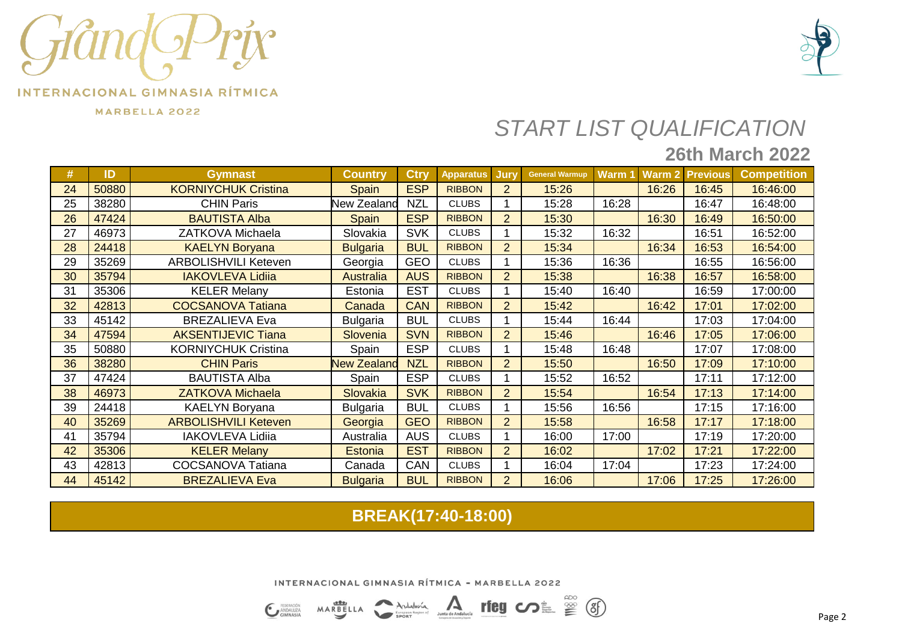

MARBELLA 2022



# *START LIST QUALIFICATION*

## **26th March 2022**

| #  | ID    | <b>Gymnast</b>              | <b>Country</b>     | <b>Ctry</b> | <b>Apparatus</b> | Jury           | <b>General Warmup</b> | Warm 1 | <b>Warm 2</b> | <b>Previous</b> | <b>Competition</b> |
|----|-------|-----------------------------|--------------------|-------------|------------------|----------------|-----------------------|--------|---------------|-----------------|--------------------|
| 24 | 50880 | <b>KORNIYCHUK Cristina</b>  | <b>Spain</b>       | <b>ESP</b>  | <b>RIBBON</b>    | $\overline{2}$ | 15:26                 |        | 16:26         | 16:45           | 16:46:00           |
| 25 | 38280 | <b>CHIN Paris</b>           | <b>New Zealand</b> | <b>NZL</b>  | <b>CLUBS</b>     |                | 15:28                 | 16:28  |               | 16:47           | 16:48:00           |
| 26 | 47424 | <b>BAUTISTA Alba</b>        | <b>Spain</b>       | <b>ESP</b>  | <b>RIBBON</b>    | $\overline{2}$ | 15:30                 |        | 16:30         | 16:49           | 16:50:00           |
| 27 | 46973 | ZATKOVA Michaela            | Slovakia           | <b>SVK</b>  | <b>CLUBS</b>     |                | 15:32                 | 16:32  |               | 16:51           | 16:52:00           |
| 28 | 24418 | <b>KAELYN Boryana</b>       | <b>Bulgaria</b>    | <b>BUL</b>  | <b>RIBBON</b>    | $\overline{2}$ | 15:34                 |        | 16:34         | 16:53           | 16:54:00           |
| 29 | 35269 | <b>ARBOLISHVILI Keteven</b> | Georgia            | <b>GEO</b>  | <b>CLUBS</b>     |                | 15:36                 | 16:36  |               | 16:55           | 16:56:00           |
| 30 | 35794 | <b>IAKOVLEVA Lidiia</b>     | <b>Australia</b>   | <b>AUS</b>  | <b>RIBBON</b>    | $\overline{2}$ | 15:38                 |        | 16:38         | 16:57           | 16:58:00           |
| 31 | 35306 | <b>KELER Melany</b>         | Estonia            | <b>EST</b>  | <b>CLUBS</b>     |                | 15:40                 | 16:40  |               | 16:59           | 17:00:00           |
| 32 | 42813 | <b>COCSANOVA Tatiana</b>    | Canada             | <b>CAN</b>  | <b>RIBBON</b>    | $\overline{2}$ | 15:42                 |        | 16:42         | 17:01           | 17:02:00           |
| 33 | 45142 | <b>BREZALIEVA Eva</b>       | <b>Bulgaria</b>    | <b>BUL</b>  | <b>CLUBS</b>     |                | 15:44                 | 16:44  |               | 17:03           | 17:04:00           |
| 34 | 47594 | <b>AKSENTIJEVIC Tiana</b>   | Slovenia           | <b>SVN</b>  | <b>RIBBON</b>    | $\overline{2}$ | 15:46                 |        | 16:46         | 17:05           | 17:06:00           |
| 35 | 50880 | <b>KORNIYCHUK Cristina</b>  | Spain              | <b>ESP</b>  | <b>CLUBS</b>     |                | 15:48                 | 16:48  |               | 17:07           | 17:08:00           |
| 36 | 38280 | <b>CHIN Paris</b>           | <b>New Zealand</b> | <b>NZL</b>  | <b>RIBBON</b>    | $\overline{2}$ | 15:50                 |        | 16:50         | 17:09           | 17:10:00           |
| 37 | 47424 | <b>BAUTISTA Alba</b>        | Spain              | <b>ESP</b>  | <b>CLUBS</b>     |                | 15:52                 | 16:52  |               | 17:11           | 17:12:00           |
| 38 | 46973 | <b>ZATKOVA Michaela</b>     | Slovakia           | <b>SVK</b>  | <b>RIBBON</b>    | $\overline{2}$ | 15:54                 |        | 16:54         | 17:13           | 17:14:00           |
| 39 | 24418 | <b>KAELYN Boryana</b>       | <b>Bulgaria</b>    | <b>BUL</b>  | <b>CLUBS</b>     |                | 15:56                 | 16:56  |               | 17:15           | 17:16:00           |
| 40 | 35269 | <b>ARBOLISHVILI Keteven</b> | Georgia            | <b>GEO</b>  | <b>RIBBON</b>    | $\overline{2}$ | 15:58                 |        | 16:58         | 17:17           | 17:18:00           |
| 41 | 35794 | <b>IAKOVLEVA Lidiia</b>     | Australia          | <b>AUS</b>  | <b>CLUBS</b>     |                | 16:00                 | 17:00  |               | 17:19           | 17:20:00           |
| 42 | 35306 | <b>KELER Melany</b>         | <b>Estonia</b>     | <b>EST</b>  | <b>RIBBON</b>    | $\overline{2}$ | 16:02                 |        | 17:02         | 17:21           | 17:22:00           |
| 43 | 42813 | <b>COCSANOVA Tatiana</b>    | Canada             | <b>CAN</b>  | <b>CLUBS</b>     |                | 16:04                 | 17:04  |               | 17:23           | 17:24:00           |
| 44 | 45142 | <b>BREZALIEVA Eva</b>       | <b>Bulgaria</b>    | <b>BUL</b>  | <b>RIBBON</b>    | $\overline{2}$ | 16:06                 |        | 17:06         | 17:25           | 17:26:00           |

### **BREAK(17:40-18:00)**

Junta de Andaluci

rfeg の皇 曾 (6)

INTERNACIONAL GIMNASIA RÍTMICA - MARBELLA 2022

Andalvoía

MARBELLA

EDERACIÓN

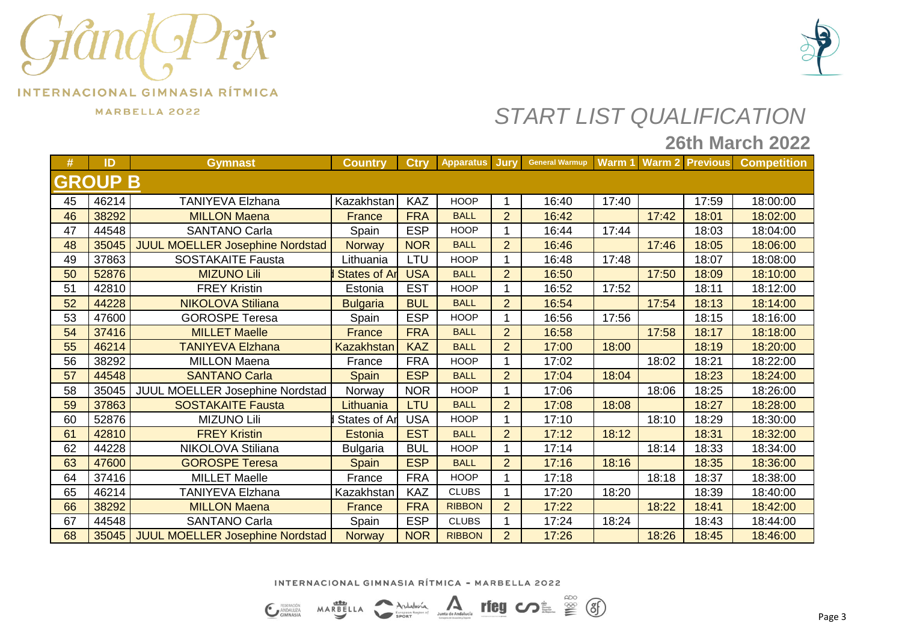



MARBELLA 2022

## *START LIST QUALIFICATION*

### **26th March 2022**

| #              | ID    | <b>Gymnast</b>                         | <b>Country</b>      | <b>Ctry</b> | <b>Apparatus</b> | <b>Jury</b>    | <b>General Warmup</b> |       |       |       | Warm 1 Warm 2 Previous Competition |
|----------------|-------|----------------------------------------|---------------------|-------------|------------------|----------------|-----------------------|-------|-------|-------|------------------------------------|
| <b>GROUP B</b> |       |                                        |                     |             |                  |                |                       |       |       |       |                                    |
| 45             | 46214 | <b>TANIYEVA Elzhana</b>                | Kazakhstan          | <b>KAZ</b>  | <b>HOOP</b>      |                | 16:40                 | 17:40 |       | 17:59 | 18:00:00                           |
| 46             | 38292 | <b>MILLON Maena</b>                    | <b>France</b>       | <b>FRA</b>  | <b>BALL</b>      | $\overline{2}$ | 16:42                 |       | 17:42 | 18:01 | 18:02:00                           |
| 47             | 44548 | <b>SANTANO Carla</b>                   | Spain               | <b>ESP</b>  | <b>HOOP</b>      | 1              | 16:44                 | 17:44 |       | 18:03 | 18:04:00                           |
| 48             | 35045 | <b>JUUL MOELLER Josephine Nordstad</b> | <b>Norway</b>       | <b>NOR</b>  | <b>BALL</b>      | $\overline{2}$ | 16:46                 |       | 17:46 | 18:05 | 18:06:00                           |
| 49             | 37863 | <b>SOSTAKAITE Fausta</b>               | Lithuania           | LTU         | <b>HOOP</b>      |                | 16:48                 | 17:48 |       | 18:07 | 18:08:00                           |
| 50             | 52876 | <b>MIZUNO Lili</b>                     | <b>States of Ar</b> | <b>USA</b>  | <b>BALL</b>      | $\overline{2}$ | 16:50                 |       | 17:50 | 18:09 | 18:10:00                           |
| 51             | 42810 | <b>FREY Kristin</b>                    | Estonia             | <b>EST</b>  | <b>HOOP</b>      |                | 16:52                 | 17:52 |       | 18:11 | 18:12:00                           |
| 52             | 44228 | <b>NIKOLOVA Stiliana</b>               | <b>Bulgaria</b>     | <b>BUL</b>  | <b>BALL</b>      | 2              | 16:54                 |       | 17:54 | 18:13 | 18:14:00                           |
| 53             | 47600 | <b>GOROSPE Teresa</b>                  | Spain               | <b>ESP</b>  | <b>HOOP</b>      |                | 16:56                 | 17:56 |       | 18:15 | 18:16:00                           |
| 54             | 37416 | <b>MILLET Maelle</b>                   | <b>France</b>       | <b>FRA</b>  | <b>BALL</b>      | $\overline{2}$ | 16:58                 |       | 17:58 | 18:17 | 18:18:00                           |
| 55             | 46214 | <b>TANIYEVA Elzhana</b>                | <b>Kazakhstan</b>   | <b>KAZ</b>  | <b>BALL</b>      | $\overline{2}$ | 17:00                 | 18:00 |       | 18:19 | 18:20:00                           |
| 56             | 38292 | <b>MILLON Maena</b>                    | France              | <b>FRA</b>  | <b>HOOP</b>      |                | 17:02                 |       | 18:02 | 18:21 | 18:22:00                           |
| 57             | 44548 | <b>SANTANO Carla</b>                   | Spain               | <b>ESP</b>  | <b>BALL</b>      | $\overline{2}$ | 17:04                 | 18:04 |       | 18:23 | 18:24:00                           |
| 58             | 35045 | JUUL MOELLER Josephine Nordstad        | Norway              | <b>NOR</b>  | <b>HOOP</b>      |                | 17:06                 |       | 18:06 | 18:25 | 18:26:00                           |
| 59             | 37863 | <b>SOSTAKAITE Fausta</b>               | Lithuania           | LTU         | <b>BALL</b>      | $\overline{2}$ | 17:08                 | 18:08 |       | 18:27 | 18:28:00                           |
| 60             | 52876 | <b>MIZUNO Lili</b>                     | States of Ar        | <b>USA</b>  | <b>HOOP</b>      |                | 17:10                 |       | 18:10 | 18:29 | 18:30:00                           |
| 61             | 42810 | <b>FREY Kristin</b>                    | <b>Estonia</b>      | <b>EST</b>  | <b>BALL</b>      | $\overline{2}$ | 17:12                 | 18:12 |       | 18:31 | 18:32:00                           |
| 62             | 44228 | NIKOLOVA Stiliana                      | <b>Bulgaria</b>     | <b>BUL</b>  | <b>HOOP</b>      | 1              | 17:14                 |       | 18:14 | 18:33 | 18:34:00                           |
| 63             | 47600 | <b>GOROSPE Teresa</b>                  | Spain               | <b>ESP</b>  | <b>BALL</b>      | $\overline{2}$ | 17:16                 | 18:16 |       | 18:35 | 18:36:00                           |
| 64             | 37416 | <b>MILLET Maelle</b>                   | France              | <b>FRA</b>  | <b>HOOP</b>      |                | 17:18                 |       | 18:18 | 18:37 | 18:38:00                           |
| 65             | 46214 | <b>TANIYEVA Elzhana</b>                | Kazakhstan          | <b>KAZ</b>  | <b>CLUBS</b>     |                | 17:20                 | 18:20 |       | 18:39 | 18:40:00                           |
| 66             | 38292 | <b>MILLON Maena</b>                    | France              | <b>FRA</b>  | <b>RIBBON</b>    | $\overline{2}$ | 17:22                 |       | 18:22 | 18:41 | 18:42:00                           |
| 67             | 44548 | <b>SANTANO Carla</b>                   | Spain               | <b>ESP</b>  | <b>CLUBS</b>     | 1              | 17:24                 | 18:24 |       | 18:43 | 18:44:00                           |
| 68             | 35045 | <b>JUUL MOELLER Josephine Nordstad</b> | <b>Norway</b>       | <b>NOR</b>  | <b>RIBBON</b>    | 2              | 17:26                 |       | 18:26 | 18:45 | 18:46:00                           |

INTERNACIONAL GIMNASIA RÍTMICA - MARBELLA 2022

rieg come so (3)

Junta de Andalucía MARBELLA Andalvoía **C** FEDERACIÓN